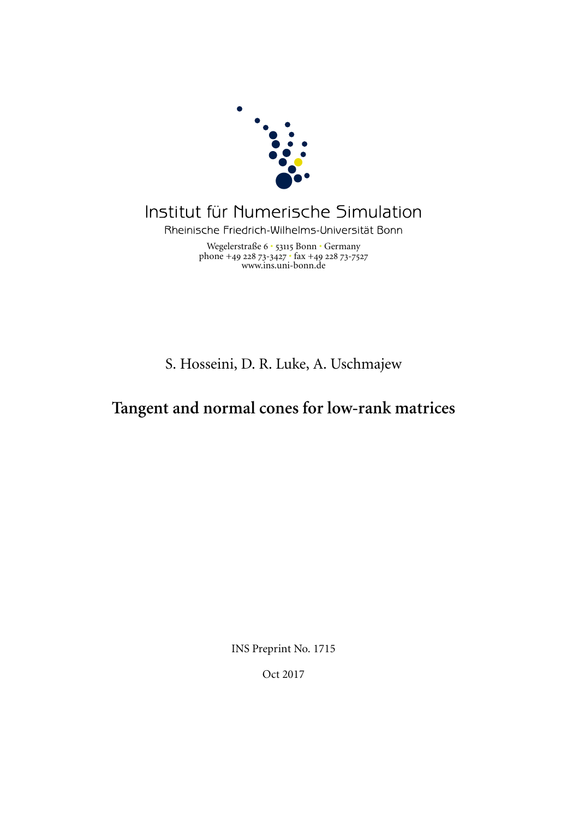

# Institut für Numerische Simulation

Rheinische Friedrich-Wilhelms-Universität Bonn

Wegelerstraße 6 · 53115 Bonn · Germany phone +49 228 73-3427  $\cdot$  fax +49 228 73-7527 www.ins.uni-bonn.de

S. Hosseini, D. R. Luke, A. Uschmajew

## **Tangent and normal cones for low-rank matrices**

INS Preprint No. 1715

Oct 2017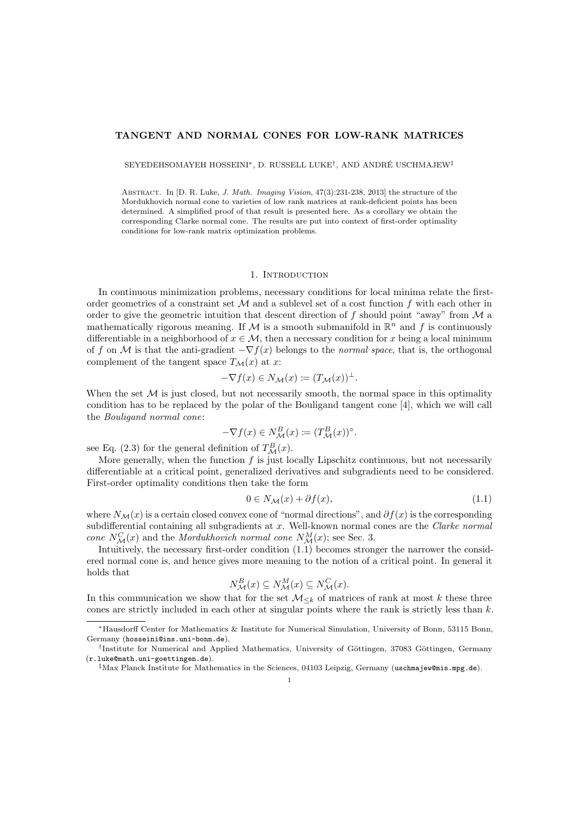### TANGENT AND NORMAL CONES FOR LOW-RANK MATRICES

SEYEDEHSOMAYEH HOSSEINI\*, D. RUSSELL LUKE<sup>†</sup>, AND ANDRÉ USCHMAJEW<sup>‡</sup>

ABSTRACT. In [D. R. Luke, J. Math. Imaging Vision, 47(3):231-238, 2013] the structure of the Mordukhovich normal cone to varieties of low rank matrices at rank-deficient points has been determined. A simplified proof of that result is presented here. As a corollary we obtain the corresponding Clarke normal cone. The results are put into context of first-order optimality conditions for low-rank matrix optimization problems.

#### 1. INTRODUCTION

In continuous minimization problems, necessary conditions for local minima relate the firstorder geometries of a constraint set  $\mathcal M$  and a sublevel set of a cost function f with each other in order to give the geometric intuition that descent direction of  $f$  should point "away" from  $\mathcal M$  a mathematically rigorous meaning. If M is a smooth submanifold in  $\mathbb{R}^n$  and f is continuously differentiable in a neighborhood of  $x \in \mathcal{M}$ , then a necessary condition for x being a local minimum of f on M is that the anti-gradient  $-\nabla f(x)$  belongs to the *normal space*, that is, the orthogonal complement of the tangent space  $T_M(x)$  at x:

$$
-\nabla f(x) \in N_{\mathcal{M}}(x) \coloneqq (T_{\mathcal{M}}(x))^{\perp}.
$$

When the set  $\mathcal M$  is just closed, but not necessarily smooth, the normal space in this optimality condition has to be replaced by the polar of the Bouligand tangent cone  $|4|$ , which we will call the Bouligand normal cone:

$$
-\nabla f(x) \in N_{\mathcal{M}}^{B}(x) \coloneqq (T_{\mathcal{M}}^{B}(x))^{\circ}.
$$

see Eq. (2.3) for the general definition of  $T^{B}_{\mathcal{M}}(x)$ .

More generally, when the function  $f$  is just locally Lipschitz continuous, but not necessarily differentiable at a critical point, generalized derivatives and subgradients need to be considered. First-order optimality conditions then take the form

$$
0 \in N_{\mathcal{M}}(x) + \partial f(x), \tag{1.1}
$$

where  $N_{\mathcal{M}}(x)$  is a certain closed convex cone of "normal directions", and  $\partial f(x)$  is the corresponding subdifferential containing all subgradients at x. Well-known normal cones are the Clarke normal cone  $N_{\mathcal{M}}^{C}(x)$  and the Mordukhovich normal cone  $N_{\mathcal{M}}^{M}(x)$ ; see Sec. 3.

Intuitively, the necessary first-order condition (1.1) becomes stronger the narrower the considered normal cone is, and hence gives more meaning to the notion of a critical point. In general it holds that

$$
N_{\mathcal{M}}^{B}(x) \subseteq N_{\mathcal{M}}^{M}(x) \subseteq N_{\mathcal{M}}^{C}(x).
$$

In this communication we show that for the set  $\mathcal{M}_{\leq k}$  of matrices of rank at most k these three cones are strictly included in each other at singular points where the rank is strictly less than  $k$ .

<sup>∗</sup>Hausdorff Center for Mathematics & Institute for Numerical Simulation, University of Bonn, 53115 Bonn, Germany (hosseini@ins.uni-bonn.de).

<sup>&</sup>lt;sup>†</sup>Institute for Numerical and Applied Mathematics, University of Göttingen, 37083 Göttingen, Germany (r.luke@math.uni-goettingen.de).

<sup>‡</sup>Max Planck Institute for Mathematics in the Sciences, 04103 Leipzig, Germany (uschmajew@mis.mpg.de).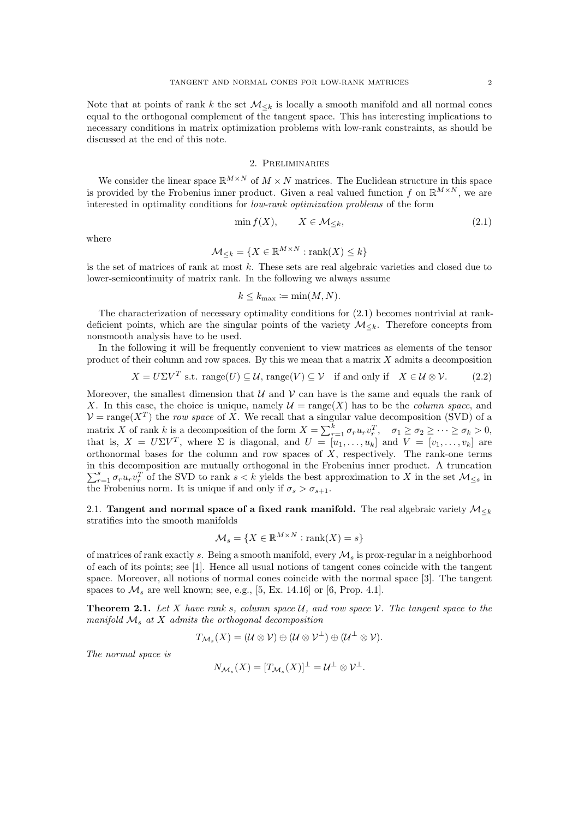Note that at points of rank k the set  $\mathcal{M}_{\leq k}$  is locally a smooth manifold and all normal cones equal to the orthogonal complement of the tangent space. This has interesting implications to necessary conditions in matrix optimization problems with low-rank constraints, as should be discussed at the end of this note.

## 2. Preliminaries

We consider the linear space  $\mathbb{R}^{M\times N}$  of  $M\times N$  matrices. The Euclidean structure in this space is provided by the Frobenius inner product. Given a real valued function f on  $\mathbb{R}^{M\times N}$ , we are interested in optimality conditions for low-rank optimization problems of the form

$$
\min f(X), \qquad X \in \mathcal{M}_{\leq k}, \tag{2.1}
$$

where

$$
\mathcal{M}_{\leq k} = \{ X \in \mathbb{R}^{M \times N} : \text{rank}(X) \leq k \}
$$

is the set of matrices of rank at most  $k$ . These sets are real algebraic varieties and closed due to lower-semicontinuity of matrix rank. In the following we always assume

$$
k \le k_{\max} \coloneqq \min(M, N).
$$

The characterization of necessary optimality conditions for (2.1) becomes nontrivial at rankdeficient points, which are the singular points of the variety  $\mathcal{M}_{\leq k}$ . Therefore concepts from nonsmooth analysis have to be used.

In the following it will be frequently convenient to view matrices as elements of the tensor product of their column and row spaces. By this we mean that a matrix  $X$  admits a decomposition

$$
X = U\Sigma V^T \text{ s.t. } \text{range}(U) \subseteq \mathcal{U}, \text{range}(V) \subseteq \mathcal{V} \text{ if and only if } X \in \mathcal{U} \otimes \mathcal{V}. \tag{2.2}
$$

Moreover, the smallest dimension that  $\mathcal U$  and  $\mathcal V$  can have is the same and equals the rank of X. In this case, the choice is unique, namely  $\mathcal{U} = \text{range}(X)$  has to be the *column space*, and  $V = \text{range}(X^T)$  the row space of X. We recall that a singular value decomposition (SVD) of a matrix X of rank k is a decomposition of the form  $X = \sum_{r=1}^{k} \sigma_r u_r v_r^T$ ,  $\sigma_1 \ge \sigma_2 \ge \cdots \ge \sigma_k > 0$ , that is,  $X = U\Sigma V^T$ , where  $\Sigma$  is diagonal, and  $U = [u_1, \ldots, u_k]$  and  $V = [v_1, \ldots, v_k]$  are orthonormal bases for the column and row spaces of  $\overline{X}$ , respectively. The rank-one terms in this decomposition are mutually orthogonal in the Frobenius inner product. A truncation  $\sum_{r=1}^s \sigma_r u_r v_r^T$  of the SVD to rank  $s < k$  yields the best approximation to X in the set  $\mathcal{M}_{\leq s}$  in the Frobenius norm. It is unique if and only if  $\sigma_s > \sigma_{s+1}$ .

2.1. Tangent and normal space of a fixed rank manifold. The real algebraic variety  $\mathcal{M}_{\leq k}$ stratifies into the smooth manifolds

$$
\mathcal{M}_s = \{ X \in \mathbb{R}^{M \times N} : \text{rank}(X) = s \}
$$

of matrices of rank exactly s. Being a smooth manifold, every  $\mathcal{M}_s$  is prox-regular in a neighborhood of each of its points; see [1]. Hence all usual notions of tangent cones coincide with the tangent space. Moreover, all notions of normal cones coincide with the normal space [3]. The tangent spaces to  $\mathcal{M}_s$  are well known; see, e.g., [5, Ex. 14.16] or [6, Prop. 4.1].

**Theorem 2.1.** Let X have rank s, column space  $U$ , and row space  $V$ . The tangent space to the manifold  $\mathcal{M}_s$  at  $X$  admits the orthogonal decomposition

$$
T_{\mathcal{M}_s}(X)=(\mathcal{U}\otimes \mathcal{V})\oplus (\mathcal{U}\otimes \mathcal{V}^{\perp})\oplus (\mathcal{U}^{\perp}\otimes \mathcal{V}).
$$

The normal space is

$$
N_{\mathcal{M}_s}(X) = [T_{\mathcal{M}_s}(X)]^{\perp} = \mathcal{U}^{\perp} \otimes \mathcal{V}^{\perp}.
$$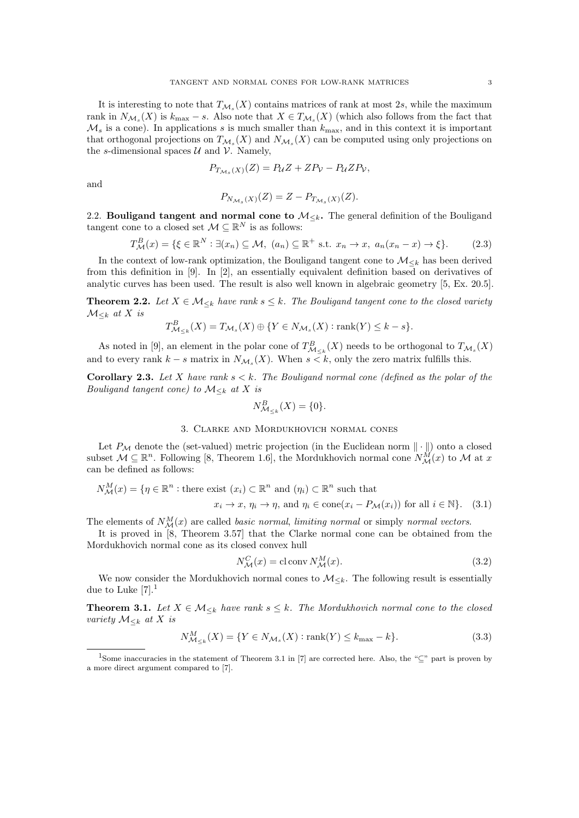It is interesting to note that  $T_{\mathcal{M}_s}(X)$  contains matrices of rank at most 2s, while the maximum rank in  $N_{\mathcal{M}_s}(X)$  is  $k_{\max} - s$ . Also note that  $X \in T_{\mathcal{M}_s}(X)$  (which also follows from the fact that  $\mathcal{M}_s$  is a cone). In applications s is much smaller than  $k_{\text{max}}$ , and in this context it is important that orthogonal projections on  $T_{\mathcal{M}_s}(X)$  and  $N_{\mathcal{M}_s}(X)$  can be computed using only projections on the s-dimensional spaces  $\mathcal U$  and  $\mathcal V$ . Namely,

$$
P_{T_{\mathcal{M}_s}(X)}(Z) = P_{\mathcal{U}}Z + ZP_{\mathcal{V}} - P_{\mathcal{U}}ZP_{\mathcal{V}},
$$

and

$$
P_{N_{\mathcal{M}_s}(X)}(Z) = Z - P_{T_{\mathcal{M}_s}(X)}(Z).
$$

2.2. Bouligand tangent and normal cone to  $\mathcal{M}_{\leq k}$ . The general definition of the Bouligand tangent cone to a closed set  $\mathcal{M} \subseteq \mathbb{R}^N$  is as follows:

$$
T_{\mathcal{M}}^{B}(x) = \{ \xi \in \mathbb{R}^{N} : \exists (x_{n}) \subseteq \mathcal{M}, \ (a_{n}) \subseteq \mathbb{R}^{+} \text{ s.t. } x_{n} \to x, \ a_{n}(x_{n} - x) \to \xi \}. \tag{2.3}
$$

In the context of low-rank optimization, the Bouligand tangent cone to  $\mathcal{M}_{\leq k}$  has been derived from this definition in [9]. In [2], an essentially equivalent definition based on derivatives of analytic curves has been used. The result is also well known in algebraic geometry [5, Ex. 20.5].

**Theorem 2.2.** Let  $X \in \mathcal{M}_{\leq k}$  have rank  $s \leq k$ . The Bouligand tangent cone to the closed variety  $\mathcal{M}_{\leq k}$  at X is

$$
T_{\mathcal{M}_{\leq k}}^B(X) = T_{\mathcal{M}_s}(X) \oplus \{ Y \in N_{\mathcal{M}_s}(X) : \text{rank}(Y) \leq k - s \}.
$$

As noted in [9], an element in the polar cone of  $T_{\mathcal{M}_{\leq k}}^B(X)$  needs to be orthogonal to  $T_{\mathcal{M}_s}(X)$ and to every rank  $k - s$  matrix in  $N_{\mathcal{M}_s}(X)$ . When  $s < k$ , only the zero matrix fulfills this.

**Corollary 2.3.** Let X have rank  $s < k$ . The Bouligand normal cone (defined as the polar of the Bouligand tangent cone) to  $\mathcal{M}_{\leq k}$  at X is

$$
N_{\mathcal{M}_{&k}}^B(X) = \{0\}.
$$

#### 3. Clarke and Mordukhovich normal cones

Let  $P_M$  denote the (set-valued) metric projection (in the Euclidean norm  $\|\cdot\|$ ) onto a closed subset  $\mathcal{M} \subseteq \mathbb{R}^n$ . Following [8, Theorem 1.6], the Mordukhovich normal cone  $N_{\mathcal{M}}^{\tilde{M}}(x)$  to  $\mathcal{M}$  at x can be defined as follows:

$$
N_{\mathcal{M}}^{M}(x) = \{ \eta \in \mathbb{R}^{n} : \text{there exist } (x_{i}) \subset \mathbb{R}^{n} \text{ and } (\eta_{i}) \subset \mathbb{R}^{n} \text{ such that}
$$

$$
x_{i} \to x, \, \eta_{i} \to \eta, \text{ and } \eta_{i} \in \text{cone}(x_{i} - P_{\mathcal{M}}(x_{i})) \text{ for all } i \in \mathbb{N} \}. \tag{3.1}
$$

The elements of  $N_{\mathcal{M}}^{M}(x)$  are called *basic normal*, *limiting normal* or simply *normal vectors*.

It is proved in [8, Theorem 3.57] that the Clarke normal cone can be obtained from the Mordukhovich normal cone as its closed convex hull

$$
N_{\mathcal{M}}^{C}(x) = \text{cl} \operatorname{conv} N_{\mathcal{M}}^{M}(x). \tag{3.2}
$$

We now consider the Mordukhovich normal cones to  $\mathcal{M}_{\leq k}$ . The following result is essentially due to Luke  $[7].<sup>1</sup>$ 

**Theorem 3.1.** Let  $X \in \mathcal{M}_{\leq k}$  have rank  $s \leq k$ . The Mordukhovich normal cone to the closed variety  $\mathcal{M}_{\leq k}$  at X is

$$
N_{\mathcal{M}_{\leq k}}^M(X) = \{ Y \in N_{\mathcal{M}_s}(X) : \text{rank}(Y) \leq k_{\text{max}} - k \}. \tag{3.3}
$$

<sup>&</sup>lt;sup>1</sup>Some inaccuracies in the statement of Theorem 3.1 in [7] are corrected here. Also, the "⊆" part is proven by a more direct argument compared to [7].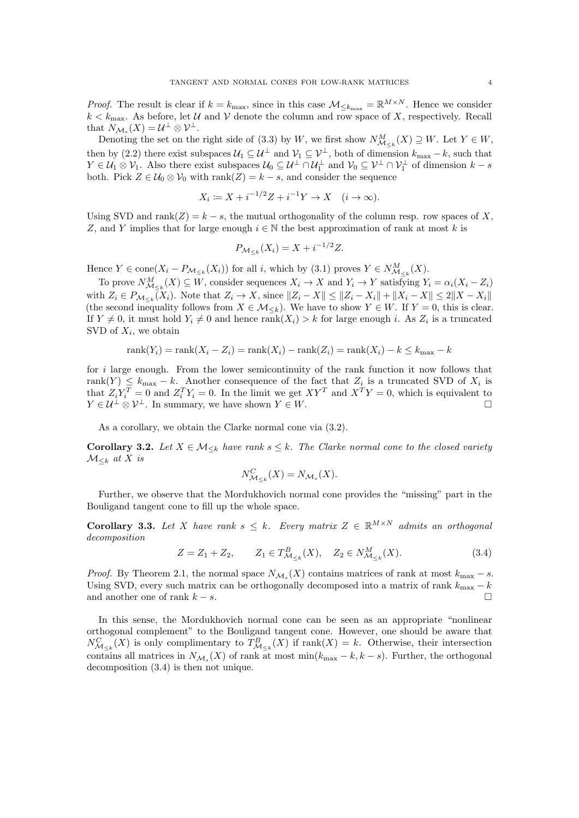*Proof.* The result is clear if  $k = k_{\text{max}}$ , since in this case  $\mathcal{M}_{\leq k_{\text{max}}} = \mathbb{R}^{M \times N}$ . Hence we consider  $k < k_{\text{max}}$ . As before, let U and V denote the column and row space of X, respectively. Recall that  $N_{\mathcal{M}_s}(X) = \mathcal{U}^{\perp} \otimes \mathcal{V}^{\perp}$ .

Denoting the set on the right side of (3.3) by W, we first show  $N_{\mathcal{M}_{\leq k}}^M(X) \supseteq W$ . Let  $Y \in W$ , then by (2.2) there exist subspaces  $\mathcal{U}_1 \subseteq \mathcal{U}^{\perp}$  and  $\mathcal{V}_1 \subseteq \mathcal{V}^{\perp}$ , both of dimension  $k_{\max} - k$ , such that  $Y \in \mathcal{U}_1 \otimes \mathcal{V}_1$ . Also there exist subspaces  $\mathcal{U}_0 \subseteq \mathcal{U}^{\perp} \cap \mathcal{U}_1^{\perp}$  and  $\mathcal{V}_0 \subseteq \mathcal{V}^{\perp} \cap \mathcal{V}_1^{\perp}$  of dimension  $k - s$ both. Pick  $Z \in \mathcal{U}_0 \otimes \mathcal{V}_0$  with rank $(Z) = k - s$ , and consider the sequence

$$
X_i := X + i^{-1/2}Z + i^{-1}Y \to X \quad (i \to \infty).
$$

Using SVD and  $\text{rank}(Z) = k - s$ , the mutual orthogonality of the column resp. row spaces of X, Z, and Y implies that for large enough  $i \in \mathbb{N}$  the best approximation of rank at most k is

$$
P_{\mathcal{M}_{\leq k}}(X_i) = X + i^{-1/2}Z.
$$

Hence  $Y \in \text{cone}(X_i - P_{\mathcal{M}_{\leq k}}(X_i))$  for all i, which by (3.1) proves  $Y \in N_{\mathcal{M}_{\leq k}}^M(X)$ .

To prove  $N_{\mathcal{M}_{\leq k}}^M(X) \subseteq W$ , consider sequences  $X_i \to X$  and  $Y_i \to Y$  satisfying  $Y_i = \alpha_i(X_i - Z_i)$ with  $Z_i \in P_{\mathcal{M}_{\leq k}}(X_i)$ . Note that  $Z_i \to X$ , since  $||Z_i - X|| \leq ||Z_i - X_i|| + ||X_i - X|| \leq 2||X - X_i||$ (the second inequality follows from  $X \in \mathcal{M}_{\leq k}$ ). We have to show  $Y \in W$ . If  $Y = 0$ , this is clear. If  $Y \neq 0$ , it must hold  $Y_i \neq 0$  and hence rank $(X_i) > k$  for large enough i. As  $Z_i$  is a truncated SVD of  $X_i$ , we obtain

$$
rank(Y_i) = rank(X_i - Z_i) = rank(X_i) - rank(Z_i) = rank(X_i) - k \le k_{\max} - k
$$

for  $i$  large enough. From the lower semicontinuity of the rank function it now follows that rank $(Y) \leq k_{\text{max}} - k$ . Another consequence of the fact that  $Z_i$  is a truncated SVD of  $X_i$  is that  $Z_i Y_i^T = 0$  and  $Z_i^T Y_i = 0$ . In the limit we get  $XY^T$  and  $X^T Y = 0$ , which is equivalent to  $Y \in \mathcal{U}^{\perp} \otimes \mathcal{V}^{\perp}$ . In summary, we have shown  $Y \in W$ .

As a corollary, we obtain the Clarke normal cone via (3.2).

**Corollary 3.2.** Let  $X \in \mathcal{M}_{\leq k}$  have rank  $s \leq k$ . The Clarke normal cone to the closed variety  $\mathcal{M}_{\leq k}$  at X is

$$
N_{\mathcal{M}_{\leq k}}^C(X) = N_{\mathcal{M}_s}(X).
$$

Further, we observe that the Mordukhovich normal cone provides the "missing" part in the Bouligand tangent cone to fill up the whole space.

Corollary 3.3. Let X have rank  $s \leq k$ . Every matrix  $Z \in \mathbb{R}^{M \times N}$  admits an orthogonal decomposition

$$
Z = Z_1 + Z_2, \qquad Z_1 \in T^B_{\mathcal{M}_{\le k}}(X), \quad Z_2 \in N^M_{\mathcal{M}_{\le k}}(X). \tag{3.4}
$$

*Proof.* By Theorem 2.1, the normal space  $N_{\mathcal{M}_s}(X)$  contains matrices of rank at most  $k_{\text{max}} - s$ . Using SVD, every such matrix can be orthogonally decomposed into a matrix of rank  $k_{\rm max} - k$ and another one of rank  $k - s$ .

In this sense, the Mordukhovich normal cone can be seen as an appropriate "nonlinear orthogonal complement" to the Bouligand tangent cone. However, one should be aware that  $N_{\mathcal{M}_{\leq k}}^C(X)$  is only complimentary to  $T_{\mathcal{M}_{\leq k}}^B(X)$  if rank $(X) = k$ . Otherwise, their intersection contains all matrices in  $N_{\mathcal{M}_s}(X)$  of rank at most min $(k_{\text{max}} - k, k - s)$ . Further, the orthogonal decomposition (3.4) is then not unique.